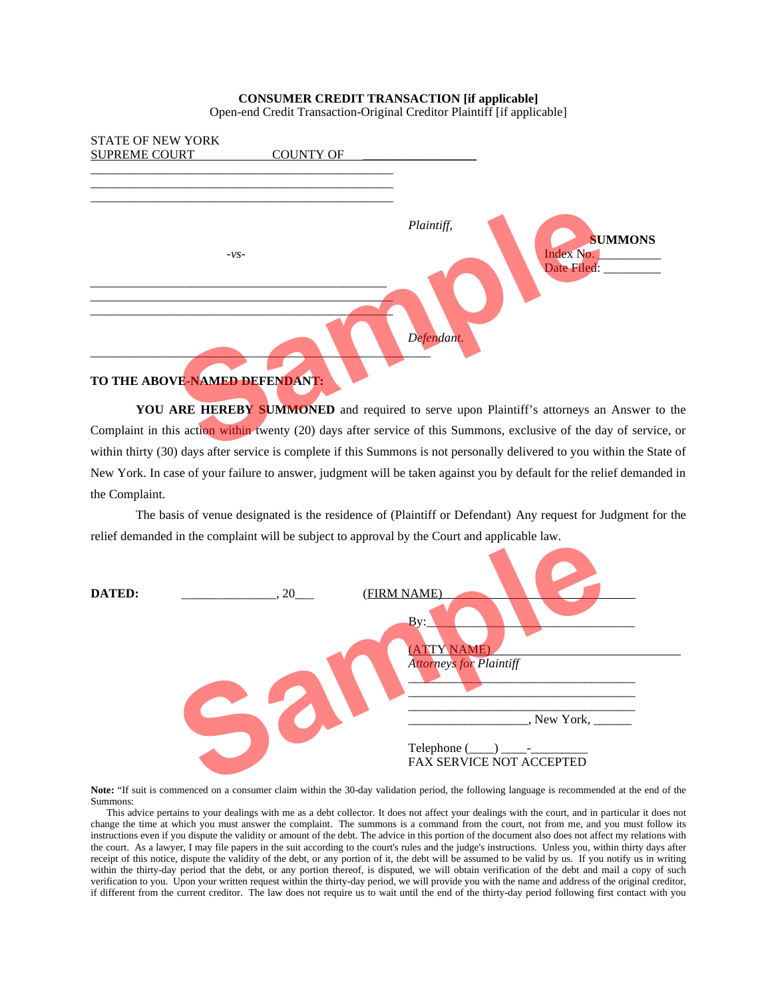## **CONSUMER CREDIT TRANSACTION [if applicable]**

Open-end Credit Transaction-Original Creditor Plaintiff [if applicable]



YOU ARE HEREBY SUMMONED and required to serve upon Plaintiff's attorneys an Answer to the Complaint in this action within twenty (20) days after service of this Summons, exclusive of the day of service, or within thirty (30) days after service is complete if this Summons is not personally delivered to you within the State of New York. In case of your failure to answer, judgment will be taken against you by default for the relief demanded in the Complaint.

The basis of venue designated is the residence of (Plaintiff or Defendant) Any request for Judgment for the relief demanded in the complaint will be subject to approval by the Court and applicable law.



**Note:** "If suit is commenced on a consumer claim within the 30-day validation period, the following language is recommended at the end of the Summons:

 This advice pertains to your dealings with me as a debt collector. It does not affect your dealings with the court, and in particular it does not change the time at which you must answer the complaint. The summons is a command from the court, not from me, and you must follow its instructions even if you dispute the validity or amount of the debt. The advice in this portion of the document also does not affect my relations with the court. As a lawyer, I may file papers in the suit according to the court's rules and the judge's instructions. Unless you, within thirty days after receipt of this notice, dispute the validity of the debt, or any portion of it, the debt will be assumed to be valid by us. If you notify us in writing within the thirty-day period that the debt, or any portion thereof, is disputed, we will obtain verification of the debt and mail a copy of such verification to you. Upon your written request within the thirty-day period, we will provide you with the name and address of the original creditor, if different from the current creditor. The law does not require us to wait until the end of the thirty-day period following first contact with you